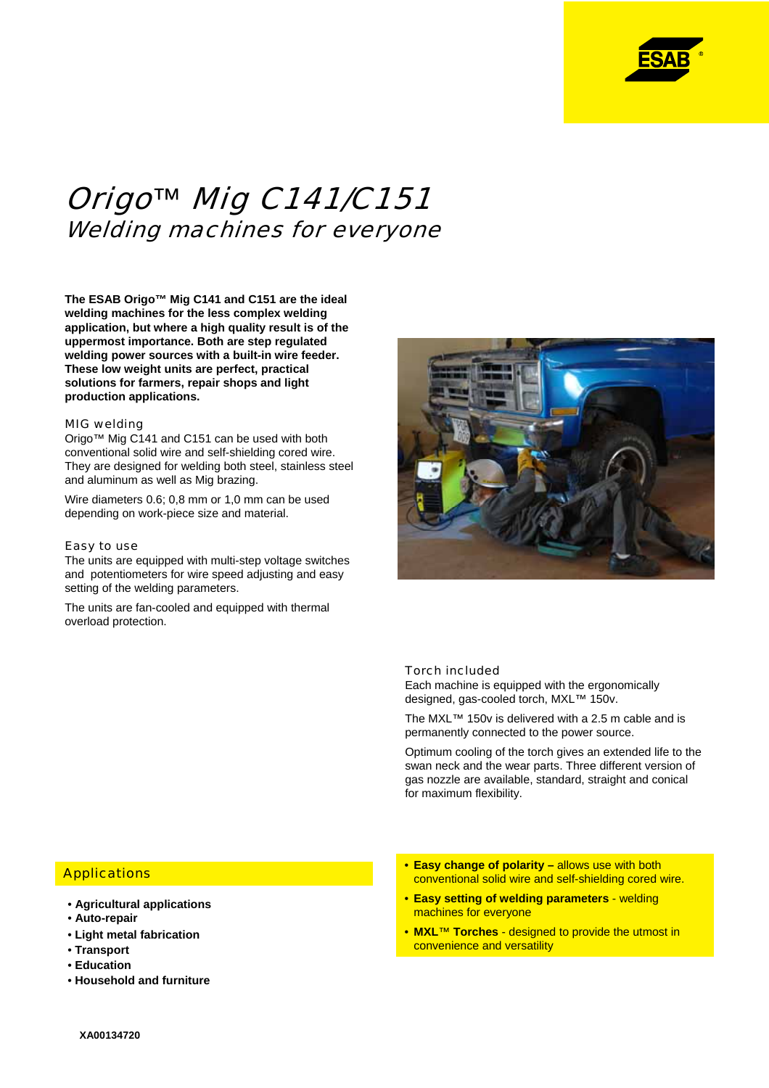

# Origo*™* Mig C141/C151 Welding machines for everyone

**The ESAB Origo™ Mig C141 and C151 are the ideal welding machines for the less complex welding application, but where a high quality result is of the uppermost importance. Both are step regulated welding power sources with a built-in wire feeder. These low weight units are perfect, practical solutions for farmers, repair shops and light production applications.**

#### MIG welding

Origo™ Mig C141 and C151 can be used with both conventional solid wire and self-shielding cored wire. They are designed for welding both steel, stainless steel and aluminum as well as Mig brazing.

Wire diameters 0.6; 0,8 mm or 1,0 mm can be used depending on work-piece size and material.

#### Easy to use

The units are equipped with multi-step voltage switches and potentiometers for wire speed adjusting and easy setting of the welding parameters.

The units are fan-cooled and equipped with thermal overload protection.



### Torch included

Each machine is equipped with the ergonomically designed, gas-cooled torch, MXL™ 150v.

The MXL™ 150v is delivered with a 2.5 m cable and is permanently connected to the power source.

Optimum cooling of the torch gives an extended life to the swan neck and the wear parts. Three different version of gas nozzle are available, standard, straight and conical for maximum flexibility.

## **Applications**

- **Agricultural applications**
- **Auto-repair**
- **Light metal fabrication**
- **Transport**
- **Education**
- **Household and furniture**
- **Easy change of polarity allows use with both** conventional solid wire and self-shielding cored wire.
- **Easy setting of welding parameters** welding machines for everyone
- **MXL**™ **Torches** designed to provide the utmost in convenience and versatility